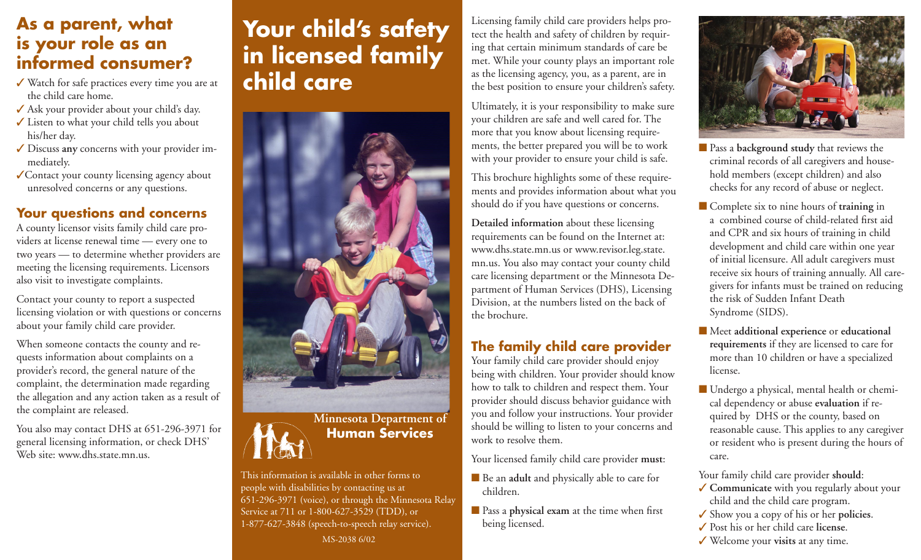# **As a parent, what is your role as an informed consumer?**

- Watch for safe practices every time you are at the child care home.
- Ask your provider about your child's day.
- Listen to what your child tells you about his/her day.
- Discuss **any** concerns with your provider immediately.
- Contact your county licensing agency about unresolved concerns or any questions.

### **Your questions and concerns**

A county licensor visits family child care providers at license renewal time — every one to two years — to determine whether providers are meeting the licensing requirements. Licensors also visit to investigate complaints.

Contact your county to report a suspected licensing violation or with questions or concerns about your family child care provider.

When someone contacts the county and requests information about complaints on a provider's record, the general nature of the complaint, the determination made regarding the allegation and any action taken as a result of the complaint are released.

You also may contact DHS at 651-296-3971 for general licensing information, or check DHS' Web site: www.dhs.state.mn.us.

# **Your child's safety in licensed family child care**



This information is available in other forms to people with disabilities by contacting us at 651-296-3971 (voice), or through the Minnesota Relay Service at 711 or 1-800-627-3529 (TDD), or 1-877-627-3848 (speech-to-speech relay service). MS-2038 6/02

Licensing family child care providers helps protect the health and safety of children by requiring that certain minimum standards of care be met. While your county plays an important role as the licensing agency, you, as a parent, are in the best position to ensure your children's safety.

Ultimately, it is your responsibility to make sure your children are safe and well cared for. The more that you know about licensing requirements, the better prepared you will be to work with your provider to ensure your child is safe.

This brochure highlights some of these requirements and provides information about what you should do if you have questions or concerns.

**Detailed information** about these licensing requirements can be found on the Internet at: www.dhs.state.mn.us or www.revisor.leg.state. mn.us. You also may contact your county child care licensing department or the Minnesota Department of Human Services (DHS), Licensing Division, at the numbers listed on the back of the brochure.

# **The family child care provider**

Your family child care provider should enjoy being with children. Your provider should know how to talk to children and respect them. Your provider should discuss behavior guidance with you and follow your instructions. Your provider should be willing to listen to your concerns and work to resolve them.

Your licensed family child care provider **must**:

- Be an **adult** and physically able to care for children.
- **Pass a physical exam at the time when first** being licensed.



- **Pass a background study** that reviews the criminal records of all caregivers and household members (except children) and also checks for any record of abuse or neglect.
- Complete six to nine hours of **training** in a combined course of child-related first aid and CPR and six hours of training in child development and child care within one year of initial licensure. All adult caregivers must receive six hours of training annually. All caregivers for infants must be trained on reducing the risk of Sudden Infant Death Syndrome (SIDS).
- $\blacksquare$  Meet additional experience or educational **requirements** if they are licensed to care for more than 10 children or have a specialized license.
- Undergo a physical, mental health or chemical dependency or abuse **evaluation** if required by DHS or the county, based on reasonable cause. This applies to any caregiver or resident who is present during the hours of care.
- Your family child care provider **should**:
- ◆ **Communicate** with you regularly about your child and the child care program.
- Show you a copy of his or her **policies**.
- Post his or her child care **license**.
- Welcome your **visits** at any time.